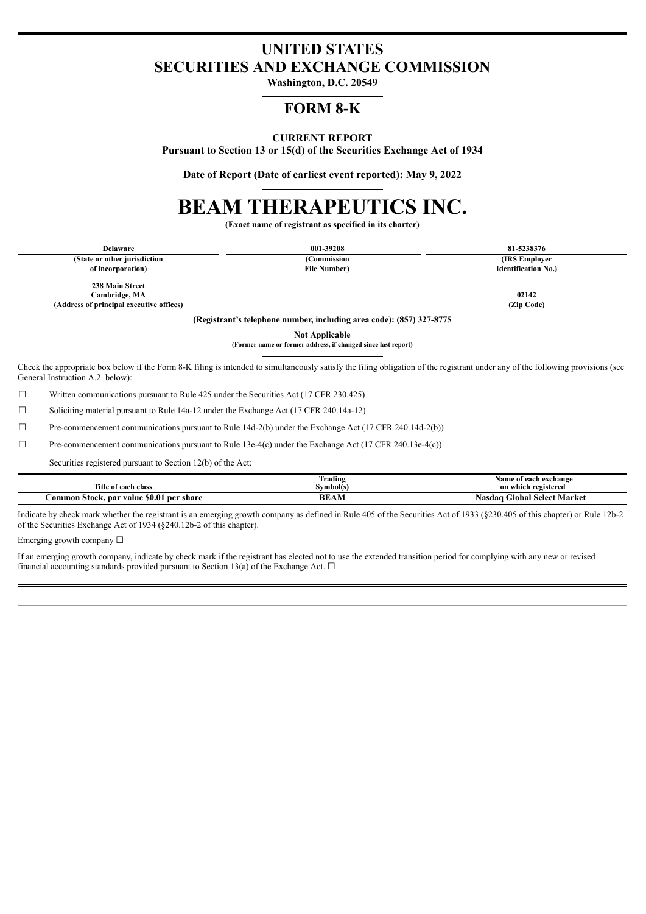# **UNITED STATES SECURITIES AND EXCHANGE COMMISSION**

**Washington, D.C. 20549**

# **FORM 8-K**

#### **CURRENT REPORT**

**Pursuant to Section 13 or 15(d) of the Securities Exchange Act of 1934**

**Date of Report (Date of earliest event reported): May 9, 2022**

# **BEAM THERAPEUTICS INC.**

**(Exact name of registrant as specified in its charter)**

| <b>Delaware</b>                                                      | 001-39208            | 81-5238376                 |  |  |  |
|----------------------------------------------------------------------|----------------------|----------------------------|--|--|--|
| (State or other jurisdiction)                                        | (Commission          | (IRS Employer)             |  |  |  |
| of incorporation)                                                    | <b>File Number</b> ) | <b>Identification No.)</b> |  |  |  |
| 238 Main Street                                                      |                      |                            |  |  |  |
| Cambridge, MA                                                        |                      | 02142                      |  |  |  |
| (Address of principal executive offices)                             |                      | (Zip Code)                 |  |  |  |
| (Registrant's telephone number, including area code): (857) 327-8775 |                      |                            |  |  |  |
|                                                                      | -- - - - - - -       |                            |  |  |  |

**Not Applicable (Former name or former address, if changed since last report)**

Check the appropriate box below if the Form 8-K filing is intended to simultaneously satisfy the filing obligation of the registrant under any of the following provisions (see General Instruction A.2. below):

☐ Written communications pursuant to Rule 425 under the Securities Act (17 CFR 230.425)

☐ Soliciting material pursuant to Rule 14a-12 under the Exchange Act (17 CFR 240.14a-12)

 $\Box$  Pre-commencement communications pursuant to Rule 14d-2(b) under the Exchange Act (17 CFR 240.14d-2(b))

☐ Pre-commencement communications pursuant to Rule 13e-4(c) under the Exchange Act (17 CFR 240.13e-4(c))

Securities registered pursuant to Section 12(b) of the Act:

| Title :                                                     | $\sim$<br>. .<br>rading<br>švmbol(s) | Name<br>`of each exchange               |
|-------------------------------------------------------------|--------------------------------------|-----------------------------------------|
| e of each class                                             |                                      | ı registered<br>on which                |
| <b>SO.01</b><br>Jommon Stock, par J<br>per share<br>value × | AM<br>Bŀ                             | <b>Global Select Market</b><br>Nasdag ' |

Indicate by check mark whether the registrant is an emerging growth company as defined in Rule 405 of the Securities Act of 1933 (§230.405 of this chapter) or Rule 12b-2 of the Securities Exchange Act of 1934 (§240.12b-2 of this chapter).

Emerging growth company  $\Box$ 

If an emerging growth company, indicate by check mark if the registrant has elected not to use the extended transition period for complying with any new or revised financial accounting standards provided pursuant to Section 13(a) of the Exchange Act.  $\Box$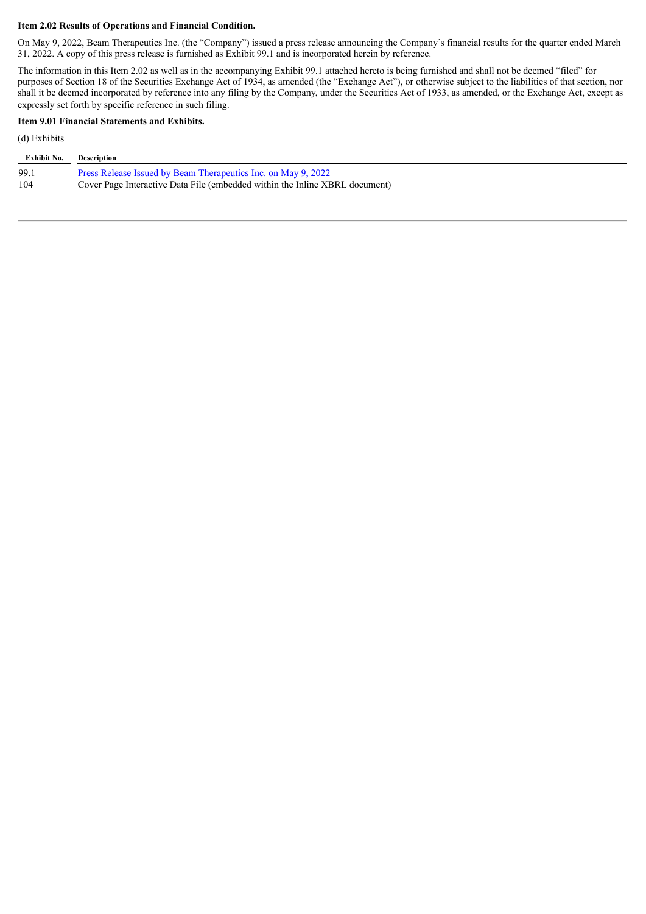#### **Item 2.02 Results of Operations and Financial Condition.**

On May 9, 2022, Beam Therapeutics Inc. (the "Company") issued a press release announcing the Company's financial results for the quarter ended March 31, 2022. A copy of this press release is furnished as Exhibit 99.1 and is incorporated herein by reference.

The information in this Item 2.02 as well as in the accompanying Exhibit 99.1 attached hereto is being furnished and shall not be deemed "filed" for purposes of Section 18 of the Securities Exchange Act of 1934, as amended (the "Exchange Act"), or otherwise subject to the liabilities of that section, nor shall it be deemed incorporated by reference into any filing by the Company, under the Securities Act of 1933, as amended, or the Exchange Act, except as expressly set forth by specific reference in such filing.

#### **Item 9.01 Financial Statements and Exhibits.**

(d) Exhibits

| Exhibit No. | Description                                                                 |
|-------------|-----------------------------------------------------------------------------|
| 99.1        | Press Release Issued by Beam Therapeutics Inc. on May 9, 2022               |
| 104         | Cover Page Interactive Data File (embedded within the Inline XBRL document) |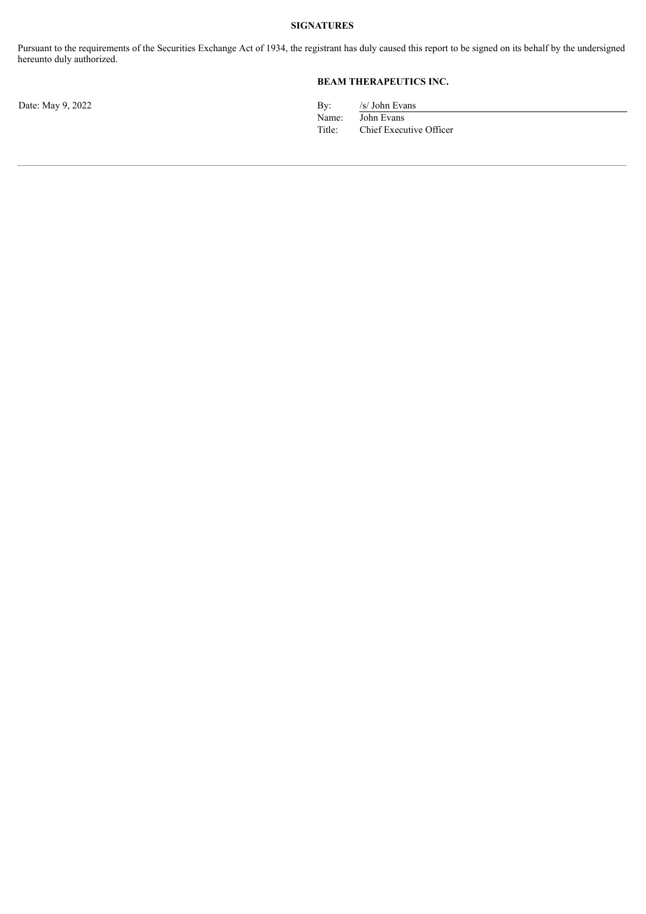#### **SIGNATURES**

Pursuant to the requirements of the Securities Exchange Act of 1934, the registrant has duly caused this report to be signed on its behalf by the undersigned hereunto duly authorized.

## **BEAM THERAPEUTICS INC.**

Date: May 9, 2022 By: /s/ John Evans Name: John Evans<br>Title: Chief Execu Chief Executive Officer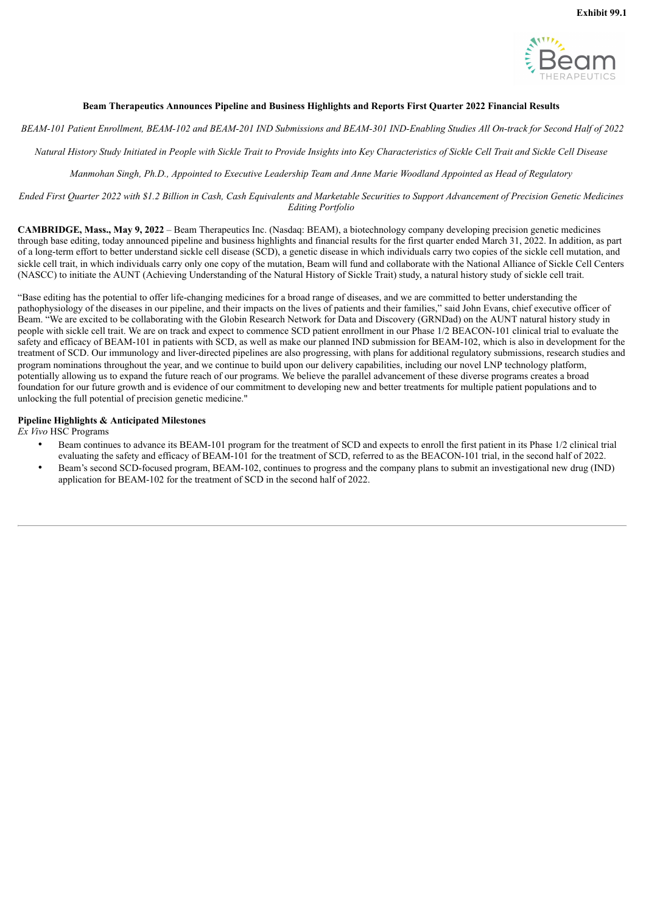

#### <span id="page-3-0"></span>**Beam Therapeutics Announces Pipeline and Business Highlights and Reports First Quarter 2022 Financial Results**

BEAM-101 Patient Enrollment. BEAM-102 and BEAM-201 IND Submissions and BEAM-301 IND-Enabling Studies All On-track for Second Half of 2022

Natural History Study Initiated in People with Sickle Trait to Provide Insights into Key Characteristics of Sickle Cell Trait and Sickle Cell Disease

Manmohan Singh, Ph.D., Appointed to Executive Leadership Team and Anne Marie Woodland Appointed as Head of Regulatory

Ended First Quarter 2022 with \$1.2 Billion in Cash, Cash Equivalents and Marketable Securities to Support Advancement of Precision Genetic Medicines *Editing Portfolio*

**CAMBRIDGE, Mass., May 9, 2022** – Beam Therapeutics Inc. (Nasdaq: BEAM), a biotechnology company developing precision genetic medicines through base editing, today announced pipeline and business highlights and financial results for the first quarter ended March 31, 2022. In addition, as part of a long-term effort to better understand sickle cell disease (SCD), a genetic disease in which individuals carry two copies of the sickle cell mutation, and sickle cell trait, in which individuals carry only one copy of the mutation, Beam will fund and collaborate with the National Alliance of Sickle Cell Centers (NASCC) to initiate the AUNT (Achieving Understanding of the Natural History of Sickle Trait) study, a natural history study of sickle cell trait.

"Base editing has the potential to offer life-changing medicines for a broad range of diseases, and we are committed to better understanding the pathophysiology of the diseases in our pipeline, and their impacts on the lives of patients and their families," said John Evans, chief executive officer of Beam. "We are excited to be collaborating with the Globin Research Network for Data and Discovery (GRNDad) on the AUNT natural history study in people with sickle cell trait. We are on track and expect to commence SCD patient enrollment in our Phase 1/2 BEACON-101 clinical trial to evaluate the safety and efficacy of BEAM-101 in patients with SCD, as well as make our planned IND submission for BEAM-102, which is also in development for the treatment of SCD. Our immunology and liver-directed pipelines are also progressing, with plans for additional regulatory submissions, research studies and program nominations throughout the year, and we continue to build upon our delivery capabilities, including our novel LNP technology platform, potentially allowing us to expand the future reach of our programs. We believe the parallel advancement of these diverse programs creates a broad foundation for our future growth and is evidence of our commitment to developing new and better treatments for multiple patient populations and to unlocking the full potential of precision genetic medicine."

#### **Pipeline Highlights & Anticipated Milestones**

*Ex Vivo* HSC Programs

- Beam continues to advance its BEAM-101 program for the treatment of SCD and expects to enroll the first patient in its Phase 1/2 clinical trial evaluating the safety and efficacy of BEAM-101 for the treatment of SCD, referred to as the BEACON-101 trial, in the second half of 2022.
- Beam's second SCD-focused program, BEAM-102, continues to progress and the company plans to submit an investigational new drug (IND) application for BEAM-102 for the treatment of SCD in the second half of 2022.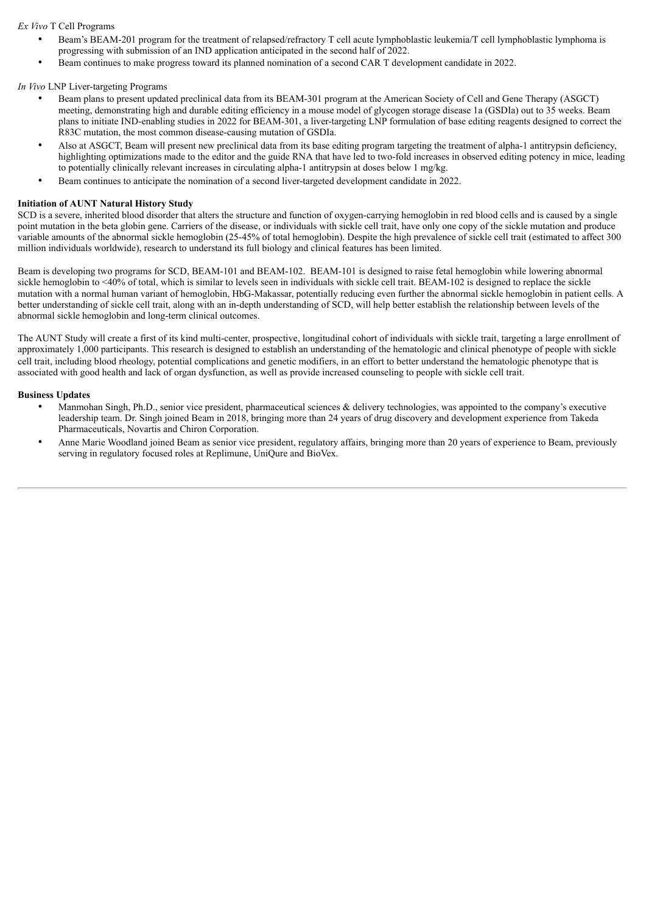*Ex Vivo* T Cell Programs

- Beam's BEAM-201 program for the treatment of relapsed/refractory T cell acute lymphoblastic leukemia/T cell lymphoblastic lymphoma is progressing with submission of an IND application anticipated in the second half of 2022.
- Beam continues to make progress toward its planned nomination of a second CAR T development candidate in 2022.

*In Vivo* LNP Liver-targeting Programs

- Beam plans to present updated preclinical data from its BEAM-301 program at the American Society of Cell and Gene Therapy (ASGCT) meeting, demonstrating high and durable editing efficiency in a mouse model of glycogen storage disease 1a (GSDIa) out to 35 weeks. Beam plans to initiate IND-enabling studies in 2022 for BEAM-301, a liver-targeting LNP formulation of base editing reagents designed to correct the R83C mutation, the most common disease-causing mutation of GSDIa.
- Also at ASGCT, Beam will present new preclinical data from its base editing program targeting the treatment of alpha-1 antitrypsin deficiency, highlighting optimizations made to the editor and the guide RNA that have led to two-fold increases in observed editing potency in mice, leading to potentially clinically relevant increases in circulating alpha-1 antitrypsin at doses below 1 mg/kg.
- Beam continues to anticipate the nomination of a second liver-targeted development candidate in 2022.

#### **Initiation of AUNT Natural History Study**

SCD is a severe, inherited blood disorder that alters the structure and function of oxygen-carrying hemoglobin in red blood cells and is caused by a single point mutation in the beta globin gene. Carriers of the disease, or individuals with sickle cell trait, have only one copy of the sickle mutation and produce variable amounts of the abnormal sickle hemoglobin (25-45% of total hemoglobin). Despite the high prevalence of sickle cell trait (estimated to affect 300 million individuals worldwide), research to understand its full biology and clinical features has been limited.

Beam is developing two programs for SCD, BEAM-101 and BEAM-102. BEAM-101 is designed to raise fetal hemoglobin while lowering abnormal sickle hemoglobin to <40% of total, which is similar to levels seen in individuals with sickle cell trait. BEAM-102 is designed to replace the sickle mutation with a normal human variant of hemoglobin, HbG-Makassar, potentially reducing even further the abnormal sickle hemoglobin in patient cells. A better understanding of sickle cell trait, along with an in-depth understanding of SCD, will help better establish the relationship between levels of the abnormal sickle hemoglobin and long-term clinical outcomes.

The AUNT Study will create a first of its kind multi-center, prospective, longitudinal cohort of individuals with sickle trait, targeting a large enrollment of approximately 1,000 participants. This research is designed to establish an understanding of the hematologic and clinical phenotype of people with sickle cell trait, including blood rheology, potential complications and genetic modifiers, in an effort to better understand the hematologic phenotype that is associated with good health and lack of organ dysfunction, as well as provide increased counseling to people with sickle cell trait.

#### **Business Updates**

- Manmohan Singh, Ph.D., senior vice president, pharmaceutical sciences & delivery technologies, was appointed to the company's executive leadership team. Dr. Singh joined Beam in 2018, bringing more than 24 years of drug discovery and development experience from Takeda Pharmaceuticals, Novartis and Chiron Corporation.
- Anne Marie Woodland joined Beam as senior vice president, regulatory affairs, bringing more than 20 years of experience to Beam, previously serving in regulatory focused roles at Replimune, UniQure and BioVex.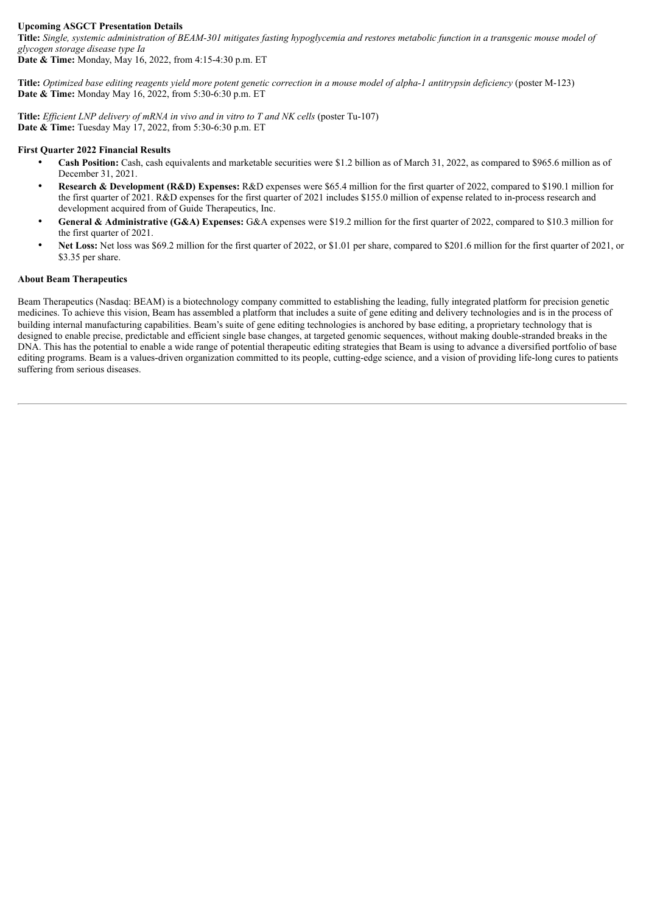#### **Upcoming ASGCT Presentation Details**

Title: Single, systemic administration of BEAM-301 mitigates fasting hypoglycemia and restores metabolic function in a transgenic mouse model of *glycogen storage disease type Ia*

**Date & Time:** Monday, May 16, 2022, from 4:15-4:30 p.m. ET

Title: Optimized base editing reagents yield more potent genetic correction in a mouse model of alpha-1 antitrypsin deficiency (poster M-123) **Date & Time:** Monday May 16, 2022, from 5:30-6:30 p.m. ET

**Title:** *Ef icient LNP delivery of mRNA in vivo and in vitro to T and NK cells* (poster Tu-107) **Date & Time:** Tuesday May 17, 2022, from 5:30-6:30 p.m. ET

#### **First Quarter 2022 Financial Results**

- **Cash Position:** Cash, cash equivalents and marketable securities were \$1.2 billion as of March 31, 2022, as compared to \$965.6 million as of December 31, 2021.
- **Research & Development (R&D) Expenses:** R&D expenses were \$65.4 million for the first quarter of 2022, compared to \$190.1 million for the first quarter of 2021. R&D expenses for the first quarter of 2021 includes \$155.0 million of expense related to in-process research and development acquired from of Guide Therapeutics, Inc.
- **General & Administrative (G&A) Expenses:** G&A expenses were \$19.2 million for the first quarter of 2022, compared to \$10.3 million for the first quarter of 2021.
- **Net Loss:** Net loss was \$69.2 million for the first quarter of 2022, or \$1.01 per share, compared to \$201.6 million for the first quarter of 2021, or \$3.35 per share.

#### **About Beam Therapeutics**

Beam Therapeutics (Nasdaq: BEAM) is a biotechnology company committed to establishing the leading, fully integrated platform for precision genetic medicines. To achieve this vision, Beam has assembled a platform that includes a suite of gene editing and delivery technologies and is in the process of building internal manufacturing capabilities. Beam's suite of gene editing technologies is anchored by base editing, a proprietary technology that is designed to enable precise, predictable and efficient single base changes, at targeted genomic sequences, without making double-stranded breaks in the DNA. This has the potential to enable a wide range of potential therapeutic editing strategies that Beam is using to advance a diversified portfolio of base editing programs. Beam is a values-driven organization committed to its people, cutting-edge science, and a vision of providing life-long cures to patients suffering from serious diseases.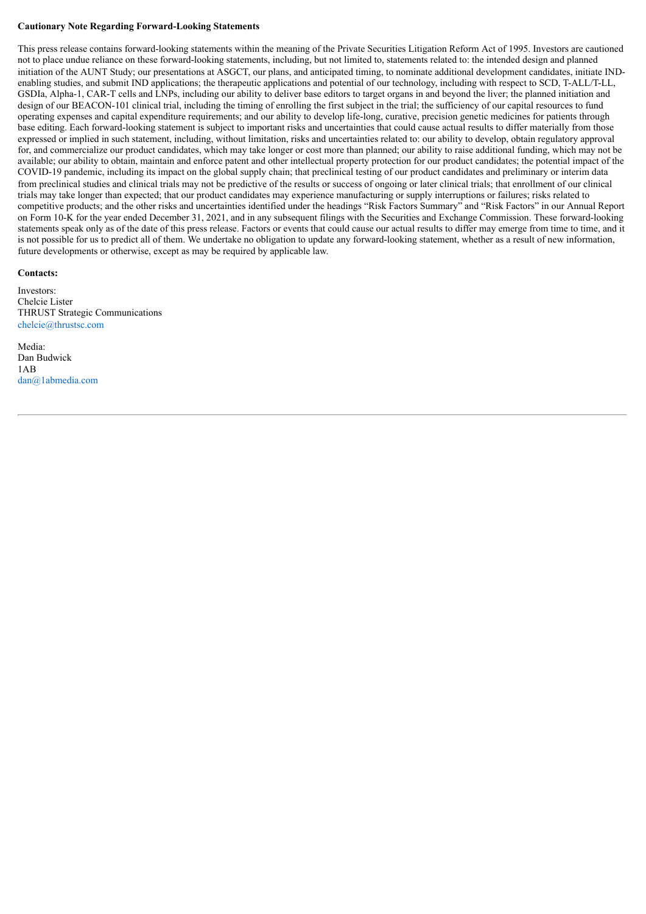#### **Cautionary Note Regarding Forward-Looking Statements**

This press release contains forward-looking statements within the meaning of the Private Securities Litigation Reform Act of 1995. Investors are cautioned not to place undue reliance on these forward-looking statements, including, but not limited to, statements related to: the intended design and planned initiation of the AUNT Study; our presentations at ASGCT, our plans, and anticipated timing, to nominate additional development candidates, initiate INDenabling studies, and submit IND applications; the therapeutic applications and potential of our technology, including with respect to SCD, T-ALL/T-LL, GSDIa, Alpha-1, CAR-T cells and LNPs, including our ability to deliver base editors to target organs in and beyond the liver; the planned initiation and design of our BEACON-101 clinical trial, including the timing of enrolling the first subject in the trial; the sufficiency of our capital resources to fund operating expenses and capital expenditure requirements; and our ability to develop life-long, curative, precision genetic medicines for patients through base editing. Each forward-looking statement is subject to important risks and uncertainties that could cause actual results to differ materially from those expressed or implied in such statement, including, without limitation, risks and uncertainties related to: our ability to develop, obtain regulatory approval for, and commercialize our product candidates, which may take longer or cost more than planned; our ability to raise additional funding, which may not be available; our ability to obtain, maintain and enforce patent and other intellectual property protection for our product candidates; the potential impact of the COVID-19 pandemic, including its impact on the global supply chain; that preclinical testing of our product candidates and preliminary or interim data from preclinical studies and clinical trials may not be predictive of the results or success of ongoing or later clinical trials; that enrollment of our clinical trials may take longer than expected; that our product candidates may experience manufacturing or supply interruptions or failures; risks related to competitive products; and the other risks and uncertainties identified under the headings "Risk Factors Summary" and "Risk Factors" in our Annual Report on Form 10-K for the year ended December 31, 2021, and in any subsequent filings with the Securities and Exchange Commission. These forward-looking statements speak only as of the date of this press release. Factors or events that could cause our actual results to differ may emerge from time to time, and it is not possible for us to predict all of them. We undertake no obligation to update any forward-looking statement, whether as a result of new information, future developments or otherwise, except as may be required by applicable law.

#### **Contacts:**

Investors: Chelcie Lister THRUST Strategic Communications chelcie@thrustsc.com

Media: Dan Budwick 1AB dan@1abmedia.com